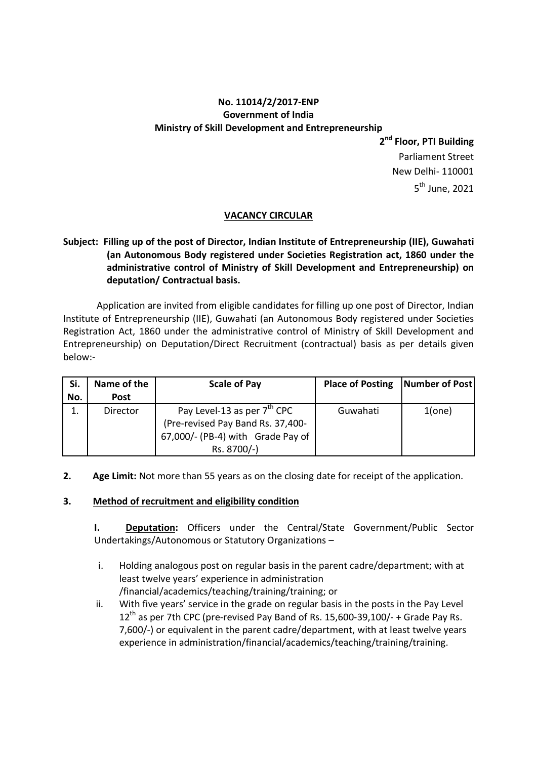# No. 11014/2/2017-ENP Government of India Ministry of Skill Development and Entrepreneurship

2<sup>nd</sup> Floor, PTI Building Parliament Street New Delhi- 110001 5 th June, 2021

### VACANCY CIRCULAR

## Subject: Filling up of the post of Director, Indian Institute of Entrepreneurship (IIE), Guwahati (an Autonomous Body registered under Societies Registration act, 1860 under the administrative control of Ministry of Skill Development and Entrepreneurship) on deputation/ Contractual basis.

 Application are invited from eligible candidates for filling up one post of Director, Indian Institute of Entrepreneurship (IIE), Guwahati (an Autonomous Body registered under Societies Registration Act, 1860 under the administrative control of Ministry of Skill Development and Entrepreneurship) on Deputation/Direct Recruitment (contractual) basis as per details given below:-

| Si. | Name of the | <b>Scale of Pay</b>                                                                                               | Place of Posting   Number of Post |           |
|-----|-------------|-------------------------------------------------------------------------------------------------------------------|-----------------------------------|-----------|
| No. | <b>Post</b> |                                                                                                                   |                                   |           |
|     | Director    | Pay Level-13 as per 7 <sup>th</sup> CPC<br>(Pre-revised Pay Band Rs. 37,400-<br>67,000/- (PB-4) with Grade Pay of | Guwahati                          | $1$ (one) |
|     |             | Rs. 8700/-)                                                                                                       |                                   |           |

2. Age Limit: Not more than 55 years as on the closing date for receipt of the application.

#### 3. Method of recruitment and eligibility condition

I. Deputation: Officers under the Central/State Government/Public Sector Undertakings/Autonomous or Statutory Organizations –

- i. Holding analogous post on regular basis in the parent cadre/department; with at least twelve years' experience in administration /financial/academics/teaching/training/training; or
- ii. With five years' service in the grade on regular basis in the posts in the Pay Level  $12<sup>th</sup>$  as per 7th CPC (pre-revised Pay Band of Rs. 15,600-39,100/- + Grade Pay Rs. 7,600/-) or equivalent in the parent cadre/department, with at least twelve years experience in administration/financial/academics/teaching/training/training.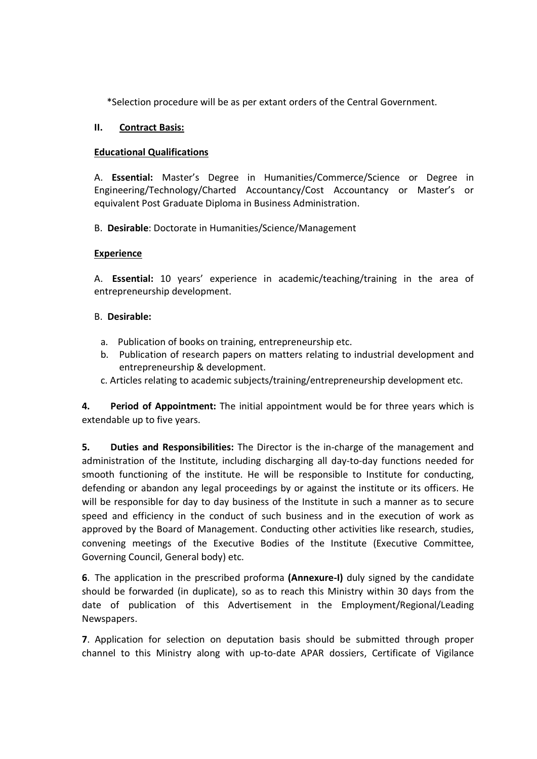\*Selection procedure will be as per extant orders of the Central Government.

#### II. Contract Basis:

### Educational Qualifications

A. Essential: Master's Degree in Humanities/Commerce/Science or Degree in Engineering/Technology/Charted Accountancy/Cost Accountancy or Master's or equivalent Post Graduate Diploma in Business Administration.

B. Desirable: Doctorate in Humanities/Science/Management

### Experience

A. Essential: 10 years' experience in academic/teaching/training in the area of entrepreneurship development.

### B. Desirable:

- a. Publication of books on training, entrepreneurship etc.
- b. Publication of research papers on matters relating to industrial development and entrepreneurship & development.
- c. Articles relating to academic subjects/training/entrepreneurship development etc.

4. Period of Appointment: The initial appointment would be for three years which is extendable up to five years.

5. Duties and Responsibilities: The Director is the in-charge of the management and administration of the Institute, including discharging all day-to-day functions needed for smooth functioning of the institute. He will be responsible to Institute for conducting, defending or abandon any legal proceedings by or against the institute or its officers. He will be responsible for day to day business of the Institute in such a manner as to secure speed and efficiency in the conduct of such business and in the execution of work as approved by the Board of Management. Conducting other activities like research, studies, convening meetings of the Executive Bodies of the Institute (Executive Committee, Governing Council, General body) etc.

6. The application in the prescribed proforma (Annexure-I) duly signed by the candidate should be forwarded (in duplicate), so as to reach this Ministry within 30 days from the date of publication of this Advertisement in the Employment/Regional/Leading Newspapers.

7. Application for selection on deputation basis should be submitted through proper channel to this Ministry along with up-to-date APAR dossiers, Certificate of Vigilance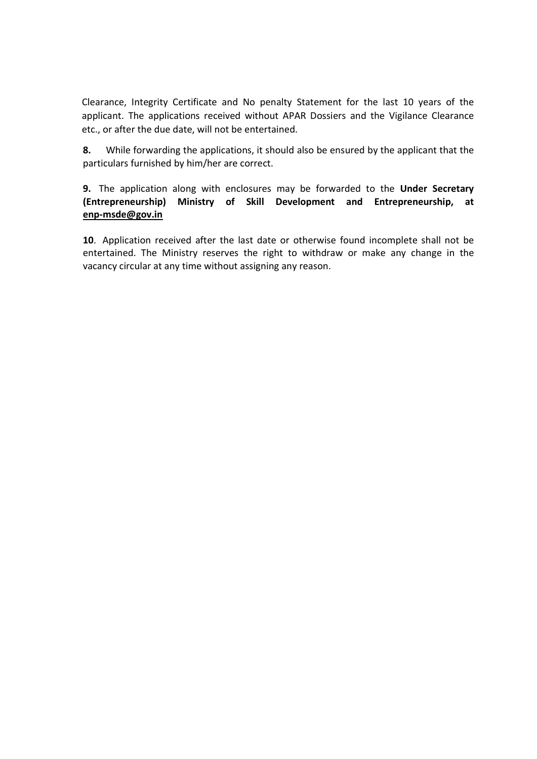Clearance, Integrity Certificate and No penalty Statement for the last 10 years of the applicant. The applications received without APAR Dossiers and the Vigilance Clearance etc., or after the due date, will not be entertained.

8. While forwarding the applications, it should also be ensured by the applicant that the particulars furnished by him/her are correct.

9. The application along with enclosures may be forwarded to the Under Secretary (Entrepreneurship) Ministry of Skill Development and Entrepreneurship, at enp-msde@gov.in

10. Application received after the last date or otherwise found incomplete shall not be entertained. The Ministry reserves the right to withdraw or make any change in the vacancy circular at any time without assigning any reason.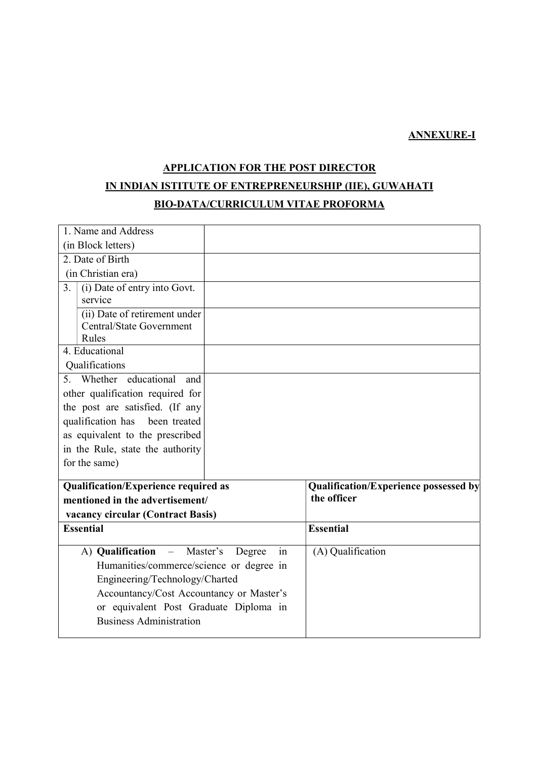# ANNEXURE-I

# APPLICATION FOR THE POST DIRECTOR IN INDIAN ISTITUTE OF ENTREPRENEURSHIP (IIE), GUWAHATI

### BIO-DATA/CURRICULUM VITAE PROFORMA

| 1. Name and Address                            |                                       |
|------------------------------------------------|---------------------------------------|
| (in Block letters)                             |                                       |
| 2. Date of Birth                               |                                       |
| (in Christian era)                             |                                       |
| (i) Date of entry into Govt.<br>3.             |                                       |
| service                                        |                                       |
| (ii) Date of retirement under                  |                                       |
| Central/State Government                       |                                       |
| Rules<br>4. Educational                        |                                       |
|                                                |                                       |
| Qualifications                                 |                                       |
| 5. Whether educational<br>and                  |                                       |
| other qualification required for               |                                       |
| the post are satisfied. (If any                |                                       |
| qualification has<br>been treated              |                                       |
| as equivalent to the prescribed                |                                       |
| in the Rule, state the authority               |                                       |
| for the same)                                  |                                       |
| <b>Qualification/Experience required as</b>    | Qualification/Experience possessed by |
| mentioned in the advertisement/                | the officer                           |
| vacancy circular (Contract Basis)              |                                       |
| <b>Essential</b>                               | <b>Essential</b>                      |
| in<br>A) Qualification<br>- Master's<br>Degree | (A) Qualification                     |
| Humanities/commerce/science or degree in       |                                       |
| Engineering/Technology/Charted                 |                                       |
| Accountancy/Cost Accountancy or Master's       |                                       |
| or equivalent Post Graduate Diploma in         |                                       |
| <b>Business Administration</b>                 |                                       |
|                                                |                                       |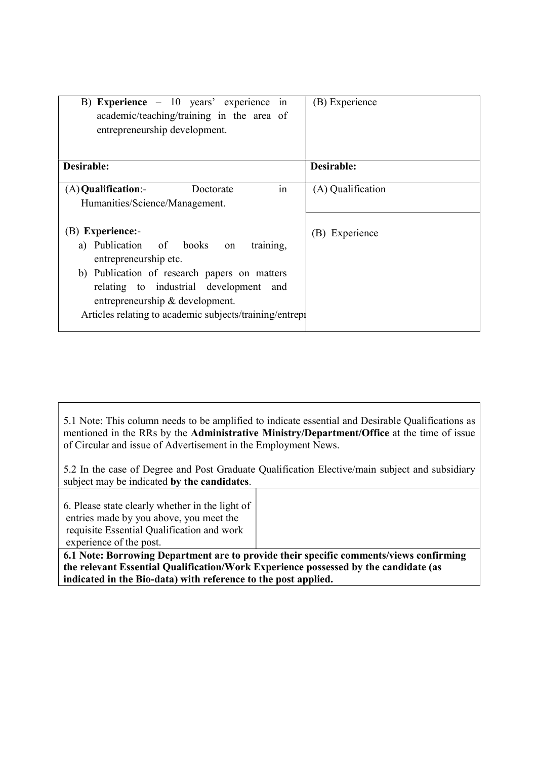| B) Experience $-10$ years' experience<br>1n<br>academic/teaching/training in the area of<br>entrepreneurship development.                                                                                                                                                    | (B) Experience    |
|------------------------------------------------------------------------------------------------------------------------------------------------------------------------------------------------------------------------------------------------------------------------------|-------------------|
| Desirable:                                                                                                                                                                                                                                                                   | Desirable:        |
| in<br>$(A)$ Qualification:-<br>Doctorate<br>Humanities/Science/Management.                                                                                                                                                                                                   | (A) Qualification |
| (B) Experience:-<br>a) Publication of books on<br>training,<br>entrepreneurship etc.<br>b) Publication of research papers on matters<br>relating to industrial development and<br>entrepreneurship & development.<br>Articles relating to academic subjects/training/entrepi | (B) Experience    |

5.1 Note: This column needs to be amplified to indicate essential and Desirable Qualifications as mentioned in the RRs by the Administrative Ministry/Department/Office at the time of issue of Circular and issue of Advertisement in the Employment News.

5.2 In the case of Degree and Post Graduate Qualification Elective/main subject and subsidiary subject may be indicated by the candidates.

6. Please state clearly whether in the light of entries made by you above, you meet the requisite Essential Qualification and work experience of the post.

6.1 Note: Borrowing Department are to provide their specific comments/views confirming the relevant Essential Qualification/Work Experience possessed by the candidate (as indicated in the Bio-data) with reference to the post applied.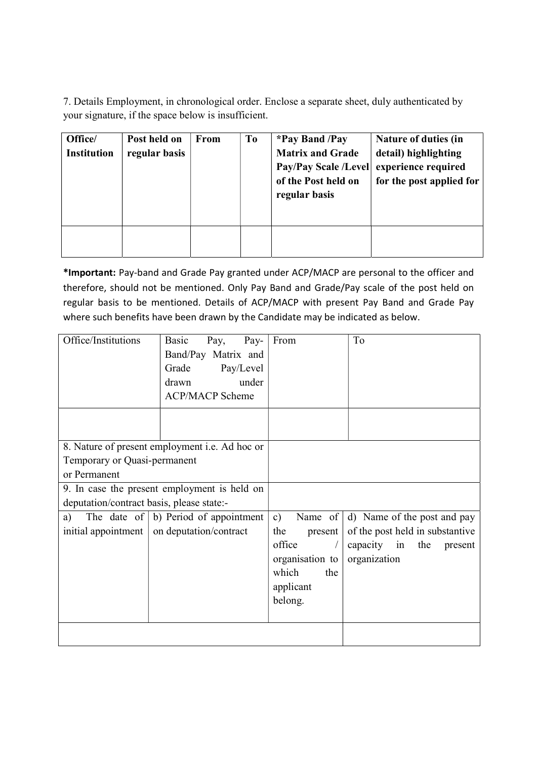7. Details Employment, in chronological order. Enclose a separate sheet, duly authenticated by your signature, if the space below is insufficient.

| Office/<br><b>Institution</b> | Post held on<br>regular basis | From | T <sub>0</sub> | <i>*Pay Band /Pay</i><br><b>Matrix and Grade</b><br><b>Pay/Pay Scale /Level</b><br>of the Post held on<br>regular basis | Nature of duties (in<br>detail) highlighting<br>experience required<br>for the post applied for |
|-------------------------------|-------------------------------|------|----------------|-------------------------------------------------------------------------------------------------------------------------|-------------------------------------------------------------------------------------------------|
|                               |                               |      |                |                                                                                                                         |                                                                                                 |

\*Important: Pay-band and Grade Pay granted under ACP/MACP are personal to the officer and therefore, should not be mentioned. Only Pay Band and Grade/Pay scale of the post held on regular basis to be mentioned. Details of ACP/MACP with present Pay Band and Grade Pay where such benefits have been drawn by the Candidate may be indicated as below.

| Office/Institutions                       | Pay-<br>Basic<br>Pay,<br>Band/Pay Matrix and<br>Grade<br>Pay/Level<br>under<br>drawn<br><b>ACP/MACP Scheme</b> | From            | To                              |
|-------------------------------------------|----------------------------------------------------------------------------------------------------------------|-----------------|---------------------------------|
|                                           | 8. Nature of present employment <i>i.e.</i> Ad hoc or                                                          |                 |                                 |
| Temporary or Quasi-permanent              |                                                                                                                |                 |                                 |
| or Permanent                              |                                                                                                                |                 |                                 |
|                                           | 9. In case the present employment is held on                                                                   |                 |                                 |
| deputation/contract basis, please state:- |                                                                                                                |                 |                                 |
| a)                                        | The date of $\vert b \rangle$ Period of appointment                                                            | Name of<br>c)   | d) Name of the post and pay     |
| initial appointment $\vert$               | on deputation/contract                                                                                         | the<br>present  | of the post held in substantive |
|                                           |                                                                                                                | office          | capacity in the<br>present      |
|                                           |                                                                                                                | organisation to | organization                    |
|                                           |                                                                                                                | which<br>the    |                                 |
|                                           |                                                                                                                | applicant       |                                 |
|                                           |                                                                                                                | belong.         |                                 |
|                                           |                                                                                                                |                 |                                 |
|                                           |                                                                                                                |                 |                                 |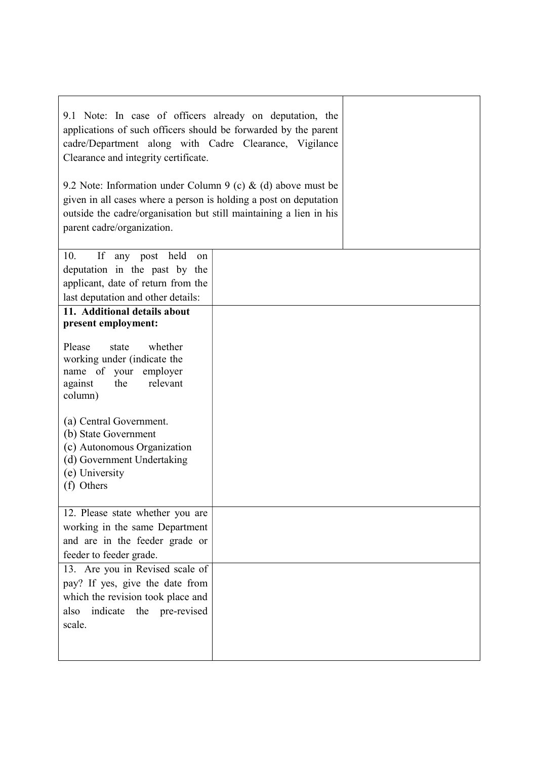| 9.1 Note: In case of officers already on deputation, the<br>applications of such officers should be forwarded by the parent<br>cadre/Department along with Cadre Clearance, Vigilance<br>Clearance and integrity certificate.<br>9.2 Note: Information under Column 9 (c) & (d) above must be<br>given in all cases where a person is holding a post on deputation<br>outside the cadre/organisation but still maintaining a lien in his |  |
|------------------------------------------------------------------------------------------------------------------------------------------------------------------------------------------------------------------------------------------------------------------------------------------------------------------------------------------------------------------------------------------------------------------------------------------|--|
| parent cadre/organization.                                                                                                                                                                                                                                                                                                                                                                                                               |  |
| 10.<br>If<br>any post held<br>on<br>deputation in the past by the<br>applicant, date of return from the<br>last deputation and other details:                                                                                                                                                                                                                                                                                            |  |
| 11. Additional details about                                                                                                                                                                                                                                                                                                                                                                                                             |  |
| present employment:                                                                                                                                                                                                                                                                                                                                                                                                                      |  |
| Please<br>whether<br>state<br>working under (indicate the<br>name of your employer<br>relevant<br>the<br>against<br>column)<br>(a) Central Government.<br>(b) State Government<br>(c) Autonomous Organization<br>(d) Government Undertaking                                                                                                                                                                                              |  |
| (e) University                                                                                                                                                                                                                                                                                                                                                                                                                           |  |
| (f) Others                                                                                                                                                                                                                                                                                                                                                                                                                               |  |
| 12. Please state whether you are<br>working in the same Department<br>and are in the feeder grade or<br>feeder to feeder grade.                                                                                                                                                                                                                                                                                                          |  |
| 13. Are you in Revised scale of<br>pay? If yes, give the date from<br>which the revision took place and<br>indicate the pre-revised<br>also<br>scale.                                                                                                                                                                                                                                                                                    |  |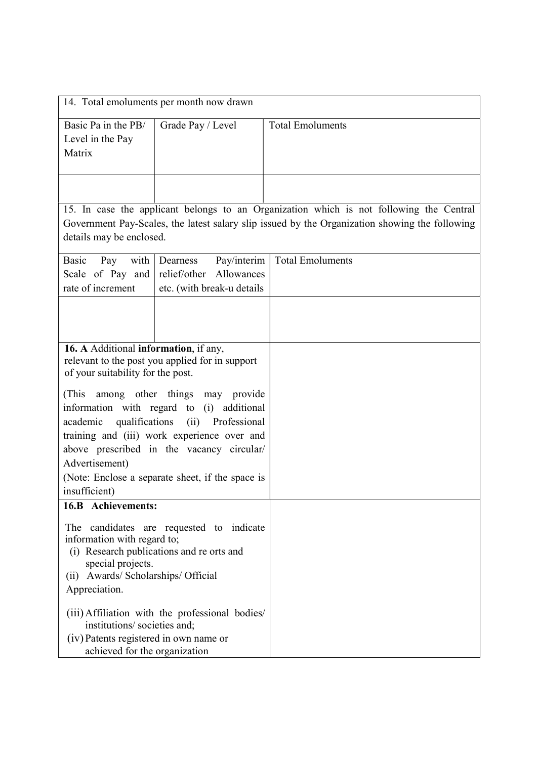|                                                        | 14. Total emoluments per month now drawn                       |                                                                                                |
|--------------------------------------------------------|----------------------------------------------------------------|------------------------------------------------------------------------------------------------|
| Basic Pa in the PB/                                    | Grade Pay / Level                                              | <b>Total Emoluments</b>                                                                        |
| Level in the Pay<br>Matrix                             |                                                                |                                                                                                |
|                                                        |                                                                |                                                                                                |
|                                                        |                                                                |                                                                                                |
|                                                        |                                                                | 15. In case the applicant belongs to an Organization which is not following the Central        |
| details may be enclosed.                               |                                                                | Government Pay-Scales, the latest salary slip issued by the Organization showing the following |
| Basic<br>Pay<br>with                                   | Pay/interim<br>Dearness                                        | <b>Total Emoluments</b>                                                                        |
| Scale of Pay and                                       | relief/other Allowances                                        |                                                                                                |
| rate of increment                                      | etc. (with break-u details                                     |                                                                                                |
|                                                        |                                                                |                                                                                                |
|                                                        |                                                                |                                                                                                |
| 16. A Additional information, if any,                  |                                                                |                                                                                                |
|                                                        | relevant to the post you applied for in support                |                                                                                                |
| of your suitability for the post.                      |                                                                |                                                                                                |
| (This                                                  | among other things may provide                                 |                                                                                                |
| qualifications<br>academic                             | information with regard to (i) additional<br>(ii) Professional |                                                                                                |
|                                                        | training and (iii) work experience over and                    |                                                                                                |
|                                                        | above prescribed in the vacancy circular/                      |                                                                                                |
| Advertisement)                                         |                                                                |                                                                                                |
| insufficient)                                          | (Note: Enclose a separate sheet, if the space is               |                                                                                                |
| 16.B Achievements:                                     |                                                                |                                                                                                |
|                                                        | The candidates are requested to indicate                       |                                                                                                |
| information with regard to;                            | (i) Research publications and re orts and                      |                                                                                                |
| special projects.                                      |                                                                |                                                                                                |
| Awards/ Scholarships/ Official<br>(i)<br>Appreciation. |                                                                |                                                                                                |
|                                                        |                                                                |                                                                                                |
| institutions/ societies and;                           | (iii) Affiliation with the professional bodies/                |                                                                                                |
| (iv) Patents registered in own name or                 |                                                                |                                                                                                |
| achieved for the organization                          |                                                                |                                                                                                |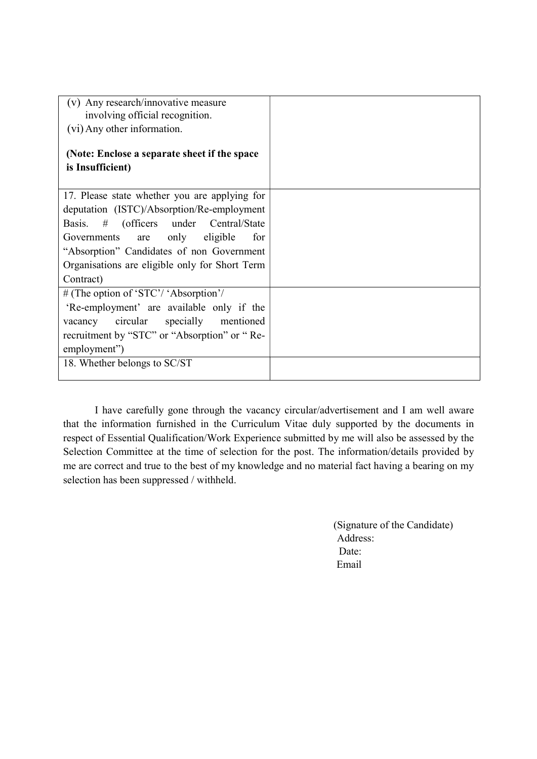| Any research/innovative measure<br>(v)<br>involving official recognition.                   |
|---------------------------------------------------------------------------------------------|
| (vi) Any other information.                                                                 |
| (Note: Enclose a separate sheet if the space)<br>is Insufficient)                           |
|                                                                                             |
| 17. Please state whether you are applying for<br>deputation (ISTC)/Absorption/Re-employment |
| Basis. # (officers under Central/State                                                      |
| only<br>eligible<br>Governments<br>for<br>are                                               |
| "Absorption" Candidates of non Government<br>Organisations are eligible only for Short Term |
| Contract)                                                                                   |
| # (The option of 'STC'/ 'Absorption'/                                                       |
| 'Re-employment' are available only if the                                                   |
| circular specially mentioned<br>vacancy                                                     |
| recruitment by "STC" or "Absorption" or "Re-                                                |
| employment")                                                                                |
| 18. Whether belongs to SC/ST                                                                |

I have carefully gone through the vacancy circular/advertisement and I am well aware that the information furnished in the Curriculum Vitae duly supported by the documents in respect of Essential Qualification/Work Experience submitted by me will also be assessed by the Selection Committee at the time of selection for the post. The information/details provided by me are correct and true to the best of my knowledge and no material fact having a bearing on my selection has been suppressed / withheld.

> (Signature of the Candidate) Address: Date: Email